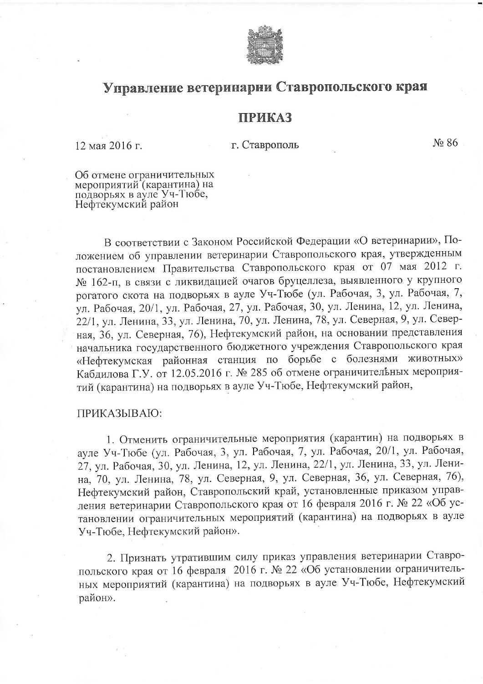

## Управление ветеринарии Ставропольского края

## **ПРИКАЗ**

12 мая 2016 г.

г. Ставрополь

No 86

Об отмене ограничительных мероприятий (карантина) на<br>подворьях в ауле Уч-Тюбе, Нефтекумский район

В соответствии с Законом Российской Федерации «О ветеринарии», Положением об управлении ветеринарии Ставропольского края, утвержденным постановлением Правительства Ставропольского края от 07 мая 2012 г. № 162-п, в связи с ликвидацией очагов бруцеллеза, выявленного у крупного рогатого скота на подворьях в ауле Уч-Тюбе (ул. Рабочая, 3, ул. Рабочая, 7, ул. Рабочая, 20/1, ул. Рабочая, 27, ул. Рабочая, 30, ул. Ленина, 12, ул. Ленина, 22/1, ул. Ленина, 33, ул. Ленина, 70, ул. Ленина, 78, ул. Северная, 9, ул. Северная, 36, ул. Северная, 76), Нефтекумский район, на основании представления начальника государственного бюджетного учреждения Ставропольского края «Нефтекумская районная станция по борьбе с болезнями животных» Кабдилова Г.У. от 12.05.2016 г. № 285 об отмене ограничительных мероприятий (карантина) на подворьях в ауле Уч-Тюбе, Нефтекумский район,

## ПРИКАЗЫВАЮ:

1. Отменить ограничительные мероприятия (карантин) на подворьях в ауле Уч-Тюбе (ул. Рабочая, 3, ул. Рабочая, 7, ул. Рабочая, 20/1, ул. Рабочая, 27, ул. Рабочая, 30, ул. Ленина, 12, ул. Ленина, 22/1, ул. Ленина, 33, ул. Ленина, 70, ул. Ленина, 78, ул. Северная, 9, ул. Северная, 36, ул. Северная, 76), Нефтекумский район, Ставропольский край, установленные приказом управления ветеринарии Ставропольского края от 16 февраля 2016 г. № 22 «Об установлении ограничительных мероприятий (карантина) на подворьях в ауле Уч-Тюбе, Нефтекумский район».

2. Признать утратившим силу приказ управления ветеринарии Ставропольского края от 16 февраля 2016 г. № 22 «Об установлении ограничительных мероприятий (карантина) на подворьях в ауле Уч-Тюбе, Нефтекумский район».